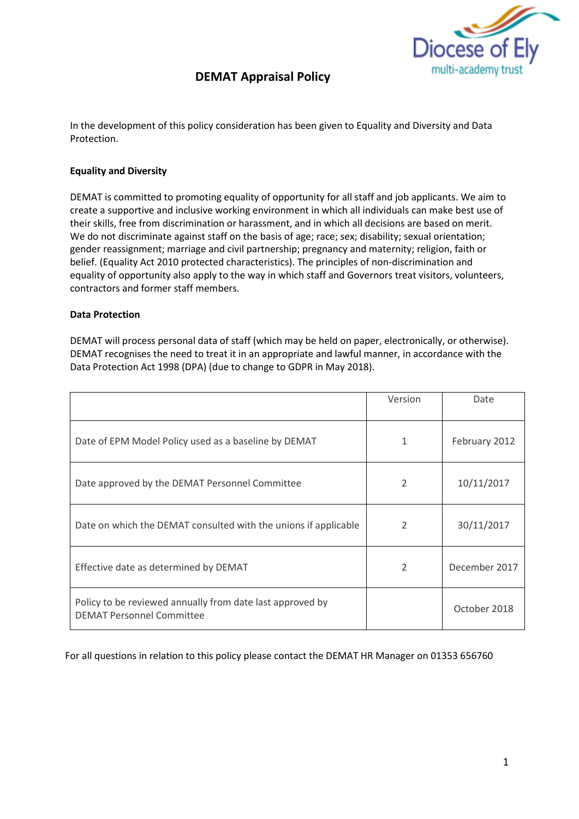

## **DEMAT Appraisal Policy**

In the development of this policy consideration has been given to Equality and Diversity and Data Protection.

## **Equality and Diversity**

DEMAT is committed to promoting equality of opportunity for all staff and job applicants. We aim to create a supportive and inclusive working environment in which all individuals can make best use of their skills, free from discrimination or harassment, and in which all decisions are based on merit. We do not discriminate against staff on the basis of age; race; sex; disability; sexual orientation; gender reassignment; marriage and civil partnership; pregnancy and maternity; religion, faith or belief. (Equality Act 2010 protected characteristics). The principles of non-discrimination and equality of opportunity also apply to the way in which staff and Governors treat visitors, volunteers, contractors and former staff members.

#### **Data Protection**

DEMAT will process personal data of staff (which may be held on paper, electronically, or otherwise). DEMAT recognises the need to treat it in an appropriate and lawful manner, in accordance with the Data Protection Act 1998 (DPA) (due to change to GDPR in May 2018).

|                                                                                               | Version                  | Date          |
|-----------------------------------------------------------------------------------------------|--------------------------|---------------|
| Date of EPM Model Policy used as a baseline by DEMAT                                          | 1                        | February 2012 |
| Date approved by the DEMAT Personnel Committee                                                | 2                        | 10/11/2017    |
| Date on which the DEMAT consulted with the unions if applicable                               | $\overline{\mathcal{L}}$ | 30/11/2017    |
| Effective date as determined by DEMAT                                                         | $\mathcal{P}$            | December 2017 |
| Policy to be reviewed annually from date last approved by<br><b>DEMAT Personnel Committee</b> |                          | October 2018  |

For all questions in relation to this policy please contact the DEMAT HR Manager on 01353 656760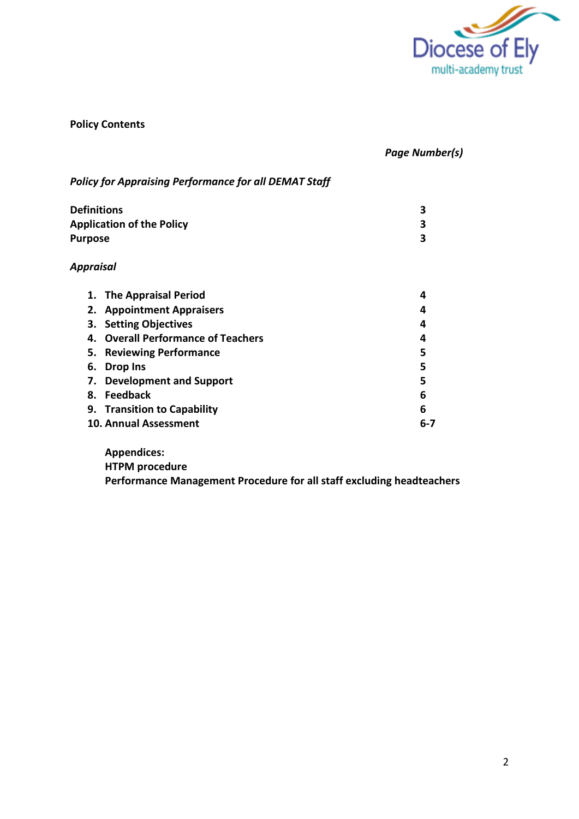

## **Policy Contents**

## *Page Number(s)*

## *Policy for Appraising Performance for all DEMAT Staff* **Definitions 3 Application of the Policy 3 Purpose 3** *Appraisal* **1. The Appraisal Period 4 2. Appointment Appraisers 4 3. Setting Objectives 4 4. Overall Performance of Teachers 4 5. Reviewing Performance 5 6. Drop Ins 5 7. Development and Support 5**

**8. Feedback 6 9. Transition to Capability 6 10. Annual Assessment 6-7**

**Appendices:**

**HTPM procedure** 

**Performance Management Procedure for all staff excluding headteachers**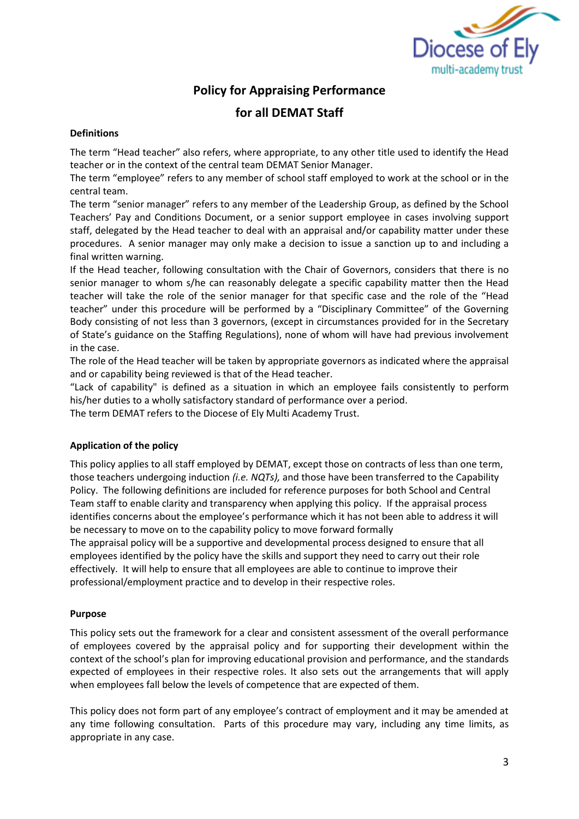

## **Policy for Appraising Performance**

## **for all DEMAT Staff**

#### **Definitions**

The term "Head teacher" also refers, where appropriate, to any other title used to identify the Head teacher or in the context of the central team DEMAT Senior Manager.

The term "employee" refers to any member of school staff employed to work at the school or in the central team.

The term "senior manager" refers to any member of the Leadership Group, as defined by the School Teachers' Pay and Conditions Document, or a senior support employee in cases involving support staff, delegated by the Head teacher to deal with an appraisal and/or capability matter under these procedures. A senior manager may only make a decision to issue a sanction up to and including a final written warning.

If the Head teacher, following consultation with the Chair of Governors, considers that there is no senior manager to whom s/he can reasonably delegate a specific capability matter then the Head teacher will take the role of the senior manager for that specific case and the role of the "Head teacher" under this procedure will be performed by a "Disciplinary Committee" of the Governing Body consisting of not less than 3 governors, (except in circumstances provided for in the Secretary of State's guidance on the Staffing Regulations), none of whom will have had previous involvement in the case.

The role of the Head teacher will be taken by appropriate governors as indicated where the appraisal and or capability being reviewed is that of the Head teacher.

"Lack of capability" is defined as a situation in which an employee fails consistently to perform his/her duties to a wholly satisfactory standard of performance over a period.

The term DEMAT refers to the Diocese of Ely Multi Academy Trust.

#### **Application of the policy**

This policy applies to all staff employed by DEMAT, except those on contracts of less than one term, those teachers undergoing induction *(i.e. NQTs),* and those have been transferred to the Capability Policy.The following definitions are included for reference purposes for both School and Central Team staff to enable clarity and transparency when applying this policy. If the appraisal process identifies concerns about the employee's performance which it has not been able to address it will be necessary to move on to the capability policy to move forward formally

The appraisal policy will be a supportive and developmental process designed to ensure that all employees identified by the policy have the skills and support they need to carry out their role effectively. It will help to ensure that all employees are able to continue to improve their professional/employment practice and to develop in their respective roles.

#### **Purpose**

This policy sets out the framework for a clear and consistent assessment of the overall performance of employees covered by the appraisal policy and for supporting their development within the context of the school's plan for improving educational provision and performance, and the standards expected of employees in their respective roles. It also sets out the arrangements that will apply when employees fall below the levels of competence that are expected of them.

This policy does not form part of any employee's contract of employment and it may be amended at any time following consultation. Parts of this procedure may vary, including any time limits, as appropriate in any case.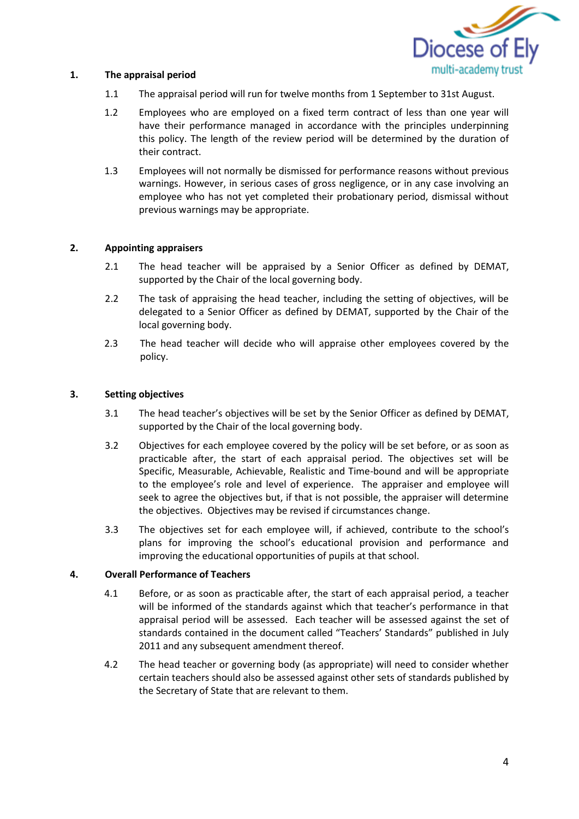

#### **1. The appraisal period**

- 1.1 The appraisal period will run for twelve months from 1 September to 31st August.
- 1.2 Employees who are employed on a fixed term contract of less than one year will have their performance managed in accordance with the principles underpinning this policy. The length of the review period will be determined by the duration of their contract.
- 1.3 Employees will not normally be dismissed for performance reasons without previous warnings. However, in serious cases of gross negligence, or in any case involving an employee who has not yet completed their probationary period, dismissal without previous warnings may be appropriate.

## **2. Appointing appraisers**

- 2.1 The head teacher will be appraised by a Senior Officer as defined by DEMAT, supported by the Chair of the local governing body.
- 2.2 The task of appraising the head teacher, including the setting of objectives, will be delegated to a Senior Officer as defined by DEMAT, supported by the Chair of the local governing body.
- 2.3 The head teacher will decide who will appraise other employees covered by the policy.

#### **3. Setting objectives**

- 3.1 The head teacher's objectives will be set by the Senior Officer as defined by DEMAT, supported by the Chair of the local governing body.
- 3.2 Objectives for each employee covered by the policy will be set before, or as soon as practicable after, the start of each appraisal period. The objectives set will be Specific, Measurable, Achievable, Realistic and Time-bound and will be appropriate to the employee's role and level of experience. The appraiser and employee will seek to agree the objectives but, if that is not possible, the appraiser will determine the objectives. Objectives may be revised if circumstances change.
- 3.3 The objectives set for each employee will, if achieved, contribute to the school's plans for improving the school's educational provision and performance and improving the educational opportunities of pupils at that school.

#### **4. Overall Performance of Teachers**

- 4.1 Before, or as soon as practicable after, the start of each appraisal period, a teacher will be informed of the standards against which that teacher's performance in that appraisal period will be assessed. Each teacher will be assessed against the set of standards contained in the document called "Teachers' Standards" published in July 2011 and any subsequent amendment thereof.
- 4.2 The head teacher or governing body (as appropriate) will need to consider whether certain teachers should also be assessed against other sets of standards published by the Secretary of State that are relevant to them.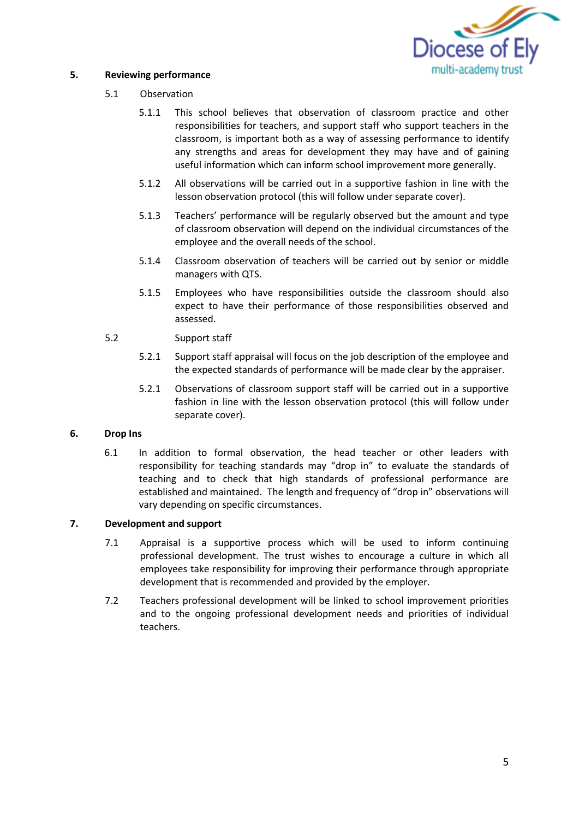

#### **5. Reviewing performance**

#### 5.1 Observation

- 5.1.1 This school believes that observation of classroom practice and other responsibilities for teachers, and support staff who support teachers in the classroom, is important both as a way of assessing performance to identify any strengths and areas for development they may have and of gaining useful information which can inform school improvement more generally.
- 5.1.2 All observations will be carried out in a supportive fashion in line with the lesson observation protocol (this will follow under separate cover).
- 5.1.3 Teachers' performance will be regularly observed but the amount and type of classroom observation will depend on the individual circumstances of the employee and the overall needs of the school.
- 5.1.4 Classroom observation of teachers will be carried out by senior or middle managers with QTS.
- 5.1.5 Employees who have responsibilities outside the classroom should also expect to have their performance of those responsibilities observed and assessed.

## 5.2 Support staff

- 5.2.1 Support staff appraisal will focus on the job description of the employee and the expected standards of performance will be made clear by the appraiser.
- 5.2.1 Observations of classroom support staff will be carried out in a supportive fashion in line with the lesson observation protocol (this will follow under separate cover).

#### **6. Drop Ins**

6.1 In addition to formal observation, the head teacher or other leaders with responsibility for teaching standards may "drop in" to evaluate the standards of teaching and to check that high standards of professional performance are established and maintained. The length and frequency of "drop in" observations will vary depending on specific circumstances.

#### **7. Development and support**

- 7.1 Appraisal is a supportive process which will be used to inform continuing professional development. The trust wishes to encourage a culture in which all employees take responsibility for improving their performance through appropriate development that is recommended and provided by the employer.
- 7.2 Teachers professional development will be linked to school improvement priorities and to the ongoing professional development needs and priorities of individual teachers.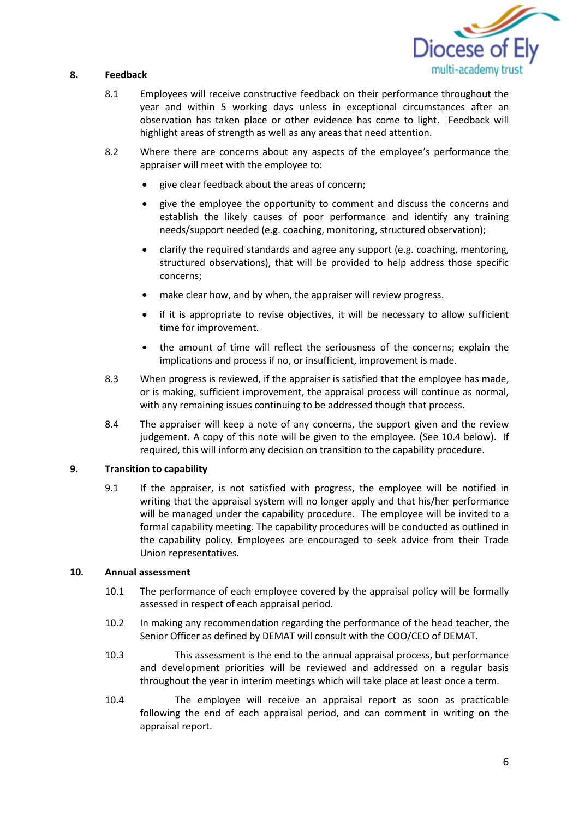

## **8. Feedback**

- 8.1 Employees will receive constructive feedback on their performance throughout the year and within 5 working days unless in exceptional circumstances after an observation has taken place or other evidence has come to light. Feedback will highlight areas of strength as well as any areas that need attention.
- 8.2 Where there are concerns about any aspects of the employee's performance the appraiser will meet with the employee to:
	- give clear feedback about the areas of concern;
	- give the employee the opportunity to comment and discuss the concerns and establish the likely causes of poor performance and identify any training needs/support needed (e.g. coaching, monitoring, structured observation);
	- clarify the required standards and agree any support (e.g. coaching, mentoring, structured observations), that will be provided to help address those specific concerns;
	- make clear how, and by when, the appraiser will review progress.
	- if it is appropriate to revise objectives, it will be necessary to allow sufficient time for improvement.
	- the amount of time will reflect the seriousness of the concerns; explain the implications and process if no, or insufficient, improvement is made.
- 8.3 When progress is reviewed, if the appraiser is satisfied that the employee has made, or is making, sufficient improvement, the appraisal process will continue as normal, with any remaining issues continuing to be addressed though that process.
- 8.4 The appraiser will keep a note of any concerns, the support given and the review judgement. A copy of this note will be given to the employee. (See 10.4 below). If required, this will inform any decision on transition to the capability procedure.

#### **9. Transition to capability**

9.1 If the appraiser, is not satisfied with progress, the employee will be notified in writing that the appraisal system will no longer apply and that his/her performance will be managed under the capability procedure. The employee will be invited to a formal capability meeting. The capability procedures will be conducted as outlined in the capability policy. Employees are encouraged to seek advice from their Trade Union representatives.

## **10. Annual assessment**

- 10.1 The performance of each employee covered by the appraisal policy will be formally assessed in respect of each appraisal period.
- 10.2 In making any recommendation regarding the performance of the head teacher, the Senior Officer as defined by DEMAT will consult with the COO/CEO of DEMAT.
- 10.3 This assessment is the end to the annual appraisal process, but performance and development priorities will be reviewed and addressed on a regular basis throughout the year in interim meetings which will take place at least once a term.
- 10.4 The employee will receive an appraisal report as soon as practicable following the end of each appraisal period, and can comment in writing on the appraisal report.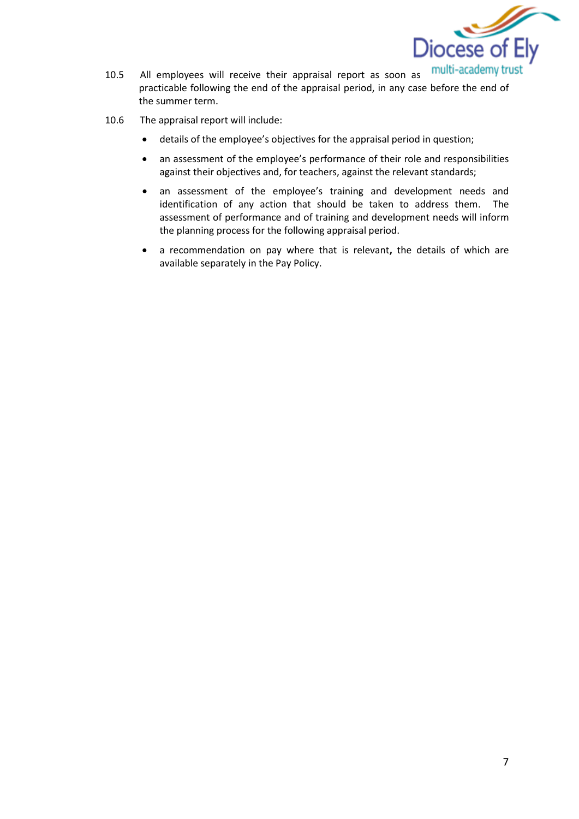

- multi-academy trust practicable following the end of the appraisal period, in any case before the end of the summer term.
- 10.6 The appraisal report will include:
	- details of the employee's objectives for the appraisal period in question;
	- an assessment of the employee's performance of their role and responsibilities against their objectives and, for teachers, against the relevant standards;
	- an assessment of the employee's training and development needs and identification of any action that should be taken to address them. The assessment of performance and of training and development needs will inform the planning process for the following appraisal period.
	- a recommendation on pay where that is relevant**,** the details of which are available separately in the Pay Policy.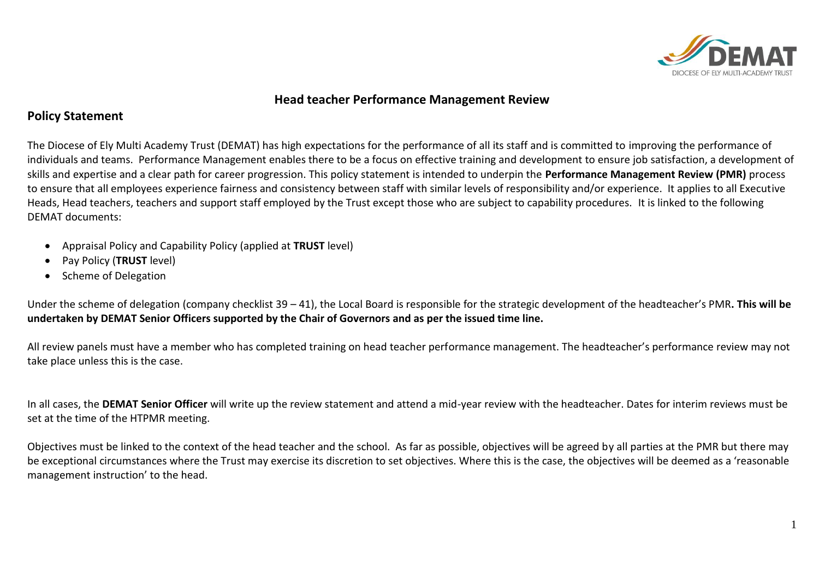

## **Head teacher Performance Management Review**

## **Policy Statement**

The Diocese of Ely Multi Academy Trust (DEMAT) has high expectations for the performance of all its staff and is committed to improving the performance of individuals and teams. Performance Management enables there to be a focus on effective training and development to ensure job satisfaction, a development of skills and expertise and a clear path for career progression. This policy statement is intended to underpin the **Performance Management Review (PMR)** process to ensure that all employees experience fairness and consistency between staff with similar levels of responsibility and/or experience. It applies to all Executive Heads, Head teachers, teachers and support staff employed by the Trust except those who are subject to capability procedures. It is linked to the following DEMAT documents:

- Appraisal Policy and Capability Policy (applied at **TRUST** level)
- Pay Policy (**TRUST** level)
- Scheme of Delegation

Under the scheme of delegation (company checklist 39 – 41), the Local Board is responsible for the strategic development of the headteacher's PMR**. This will be undertaken by DEMAT Senior Officers supported by the Chair of Governors and as per the issued time line.**

All review panels must have a member who has completed training on head teacher performance management. The headteacher's performance review may not take place unless this is the case.

In all cases, the **DEMAT Senior Officer** will write up the review statement and attend a mid-year review with the headteacher. Dates for interim reviews must be set at the time of the HTPMR meeting.

Objectives must be linked to the context of the head teacher and the school. As far as possible, objectives will be agreed by all parties at the PMR but there may be exceptional circumstances where the Trust may exercise its discretion to set objectives. Where this is the case, the objectives will be deemed as a 'reasonable management instruction' to the head.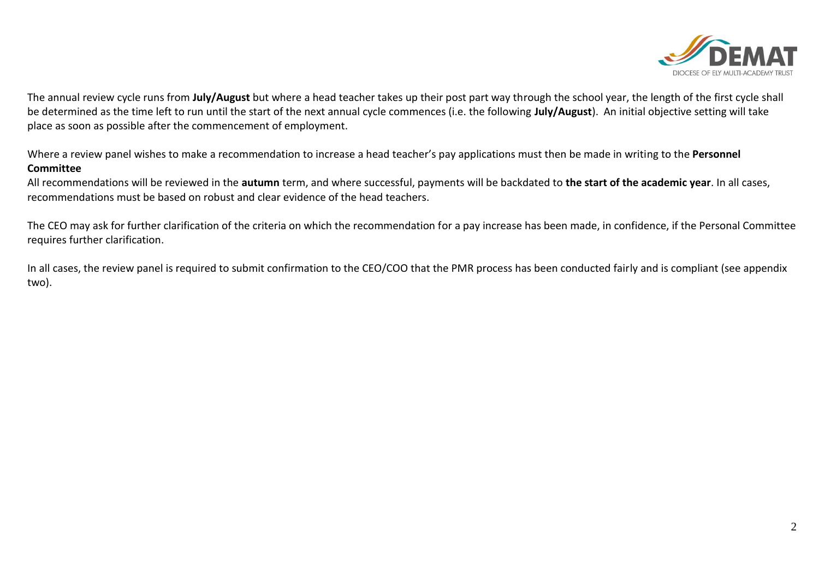

The annual review cycle runs from **July/August** but where a head teacher takes up their post part way through the school year, the length of the first cycle shall be determined as the time left to run until the start of the next annual cycle commences (i.e. the following **July/August**). An initial objective setting will take place as soon as possible after the commencement of employment.

Where a review panel wishes to make a recommendation to increase a head teacher's pay applications must then be made in writing to the **Personnel Committee** 

All recommendations will be reviewed in the **autumn** term, and where successful, payments will be backdated to **the start of the academic year**. In all cases, recommendations must be based on robust and clear evidence of the head teachers.

The CEO may ask for further clarification of the criteria on which the recommendation for a pay increase has been made, in confidence, if the Personal Committee requires further clarification.

In all cases, the review panel is required to submit confirmation to the CEO/COO that the PMR process has been conducted fairly and is compliant (see appendix two).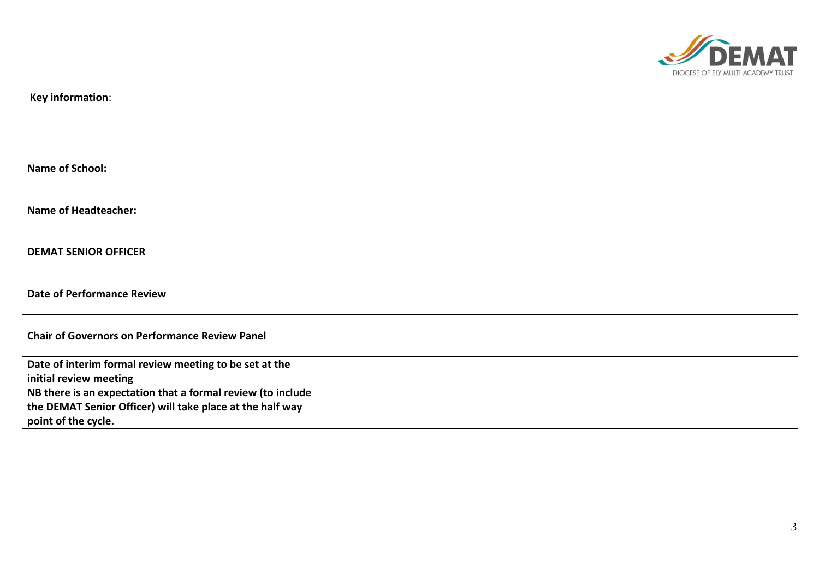

**Key information**:

| <b>Name of School:</b>                                                           |  |
|----------------------------------------------------------------------------------|--|
| <b>Name of Headteacher:</b>                                                      |  |
| <b>DEMAT SENIOR OFFICER</b>                                                      |  |
| <b>Date of Performance Review</b>                                                |  |
| <b>Chair of Governors on Performance Review Panel</b>                            |  |
| Date of interim formal review meeting to be set at the<br>initial review meeting |  |
| NB there is an expectation that a formal review (to include                      |  |
| the DEMAT Senior Officer) will take place at the half way                        |  |
| point of the cycle.                                                              |  |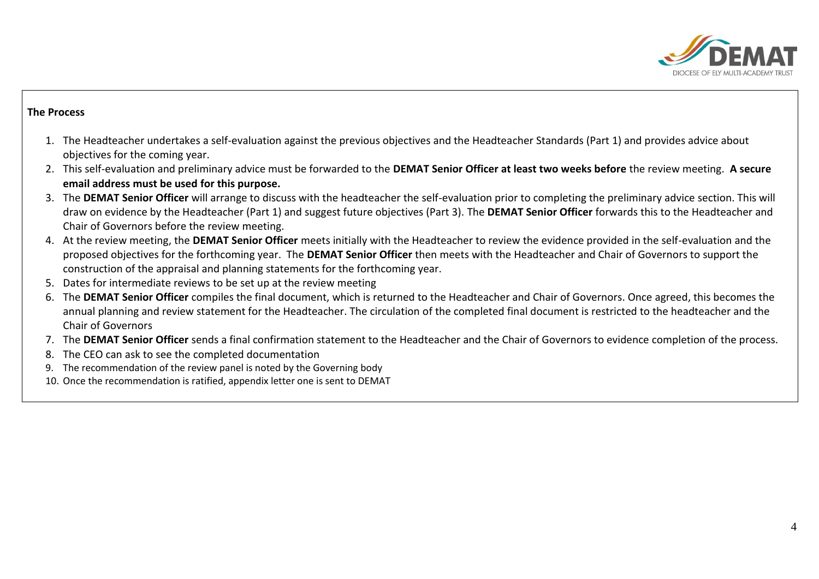

## **The Process**

- 1. The Headteacher undertakes a self-evaluation against the previous objectives and the Headteacher Standards (Part 1) and provides advice about objectives for the coming year.
- 2. This self-evaluation and preliminary advice must be forwarded to the **DEMAT Senior Officer at least two weeks before** the review meeting. **A secure email address must be used for this purpose.**
- 3. The **DEMAT Senior Officer** will arrange to discuss with the headteacher the self-evaluation prior to completing the preliminary advice section. This will draw on evidence by the Headteacher (Part 1) and suggest future objectives (Part 3). The **DEMAT Senior Officer** forwards this to the Headteacher and Chair of Governors before the review meeting.
- 4. At the review meeting, the **DEMAT Senior Officer** meets initially with the Headteacher to review the evidence provided in the self-evaluation and the proposed objectives for the forthcoming year. The **DEMAT Senior Officer** then meets with the Headteacher and Chair of Governors to support the construction of the appraisal and planning statements for the forthcoming year.
- 5. Dates for intermediate reviews to be set up at the review meeting
- 6. The **DEMAT Senior Officer** compiles the final document, which is returned to the Headteacher and Chair of Governors. Once agreed, this becomes the annual planning and review statement for the Headteacher. The circulation of the completed final document is restricted to the headteacher and the Chair of Governors
- 7. The **DEMAT Senior Officer** sends a final confirmation statement to the Headteacher and the Chair of Governors to evidence completion of the process.
- 8. The CEO can ask to see the completed documentation
- 9. The recommendation of the review panel is noted by the Governing body
- 10. Once the recommendation is ratified, appendix letter one is sent to DEMAT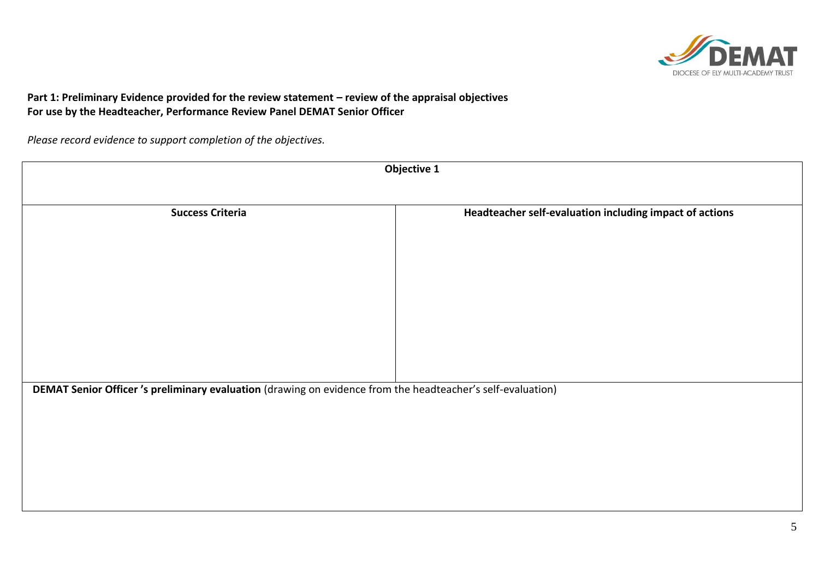

## **Part 1: Preliminary Evidence provided for the review statement – review of the appraisal objectives For use by the Headteacher, Performance Review Panel DEMAT Senior Officer**

*Please record evidence to support completion of the objectives.*

| Objective 1                                                                                                 |                                                         |  |  |  |
|-------------------------------------------------------------------------------------------------------------|---------------------------------------------------------|--|--|--|
|                                                                                                             |                                                         |  |  |  |
| <b>Success Criteria</b>                                                                                     | Headteacher self-evaluation including impact of actions |  |  |  |
|                                                                                                             |                                                         |  |  |  |
|                                                                                                             |                                                         |  |  |  |
|                                                                                                             |                                                         |  |  |  |
|                                                                                                             |                                                         |  |  |  |
|                                                                                                             |                                                         |  |  |  |
|                                                                                                             |                                                         |  |  |  |
|                                                                                                             |                                                         |  |  |  |
| DEMAT Senior Officer 's preliminary evaluation (drawing on evidence from the headteacher's self-evaluation) |                                                         |  |  |  |
|                                                                                                             |                                                         |  |  |  |
|                                                                                                             |                                                         |  |  |  |
|                                                                                                             |                                                         |  |  |  |
|                                                                                                             |                                                         |  |  |  |
|                                                                                                             |                                                         |  |  |  |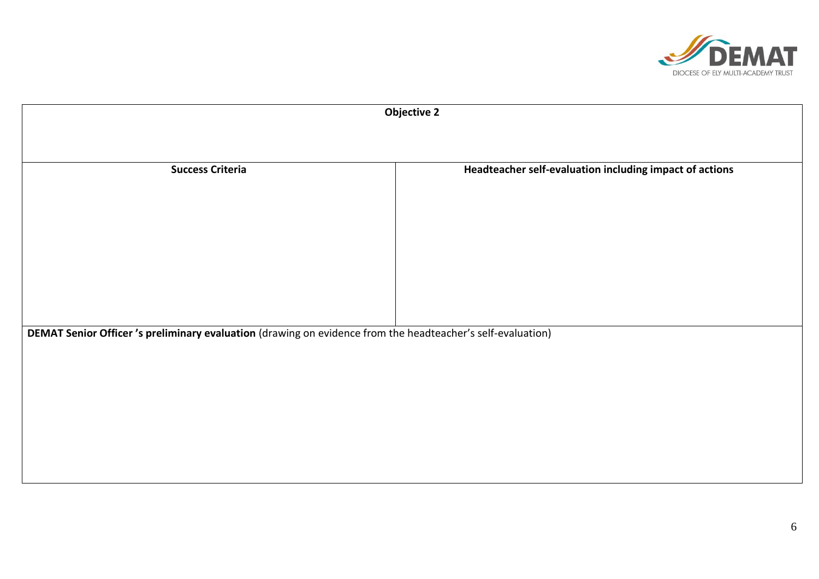

| <b>Objective 2</b>                                                                                         |                                                         |  |  |  |
|------------------------------------------------------------------------------------------------------------|---------------------------------------------------------|--|--|--|
|                                                                                                            |                                                         |  |  |  |
| <b>Success Criteria</b>                                                                                    | Headteacher self-evaluation including impact of actions |  |  |  |
|                                                                                                            |                                                         |  |  |  |
|                                                                                                            |                                                         |  |  |  |
|                                                                                                            |                                                         |  |  |  |
|                                                                                                            |                                                         |  |  |  |
|                                                                                                            |                                                         |  |  |  |
| DEMAT Senior Officer's preliminary evaluation (drawing on evidence from the headteacher's self-evaluation) |                                                         |  |  |  |
|                                                                                                            |                                                         |  |  |  |
|                                                                                                            |                                                         |  |  |  |
|                                                                                                            |                                                         |  |  |  |
|                                                                                                            |                                                         |  |  |  |
|                                                                                                            |                                                         |  |  |  |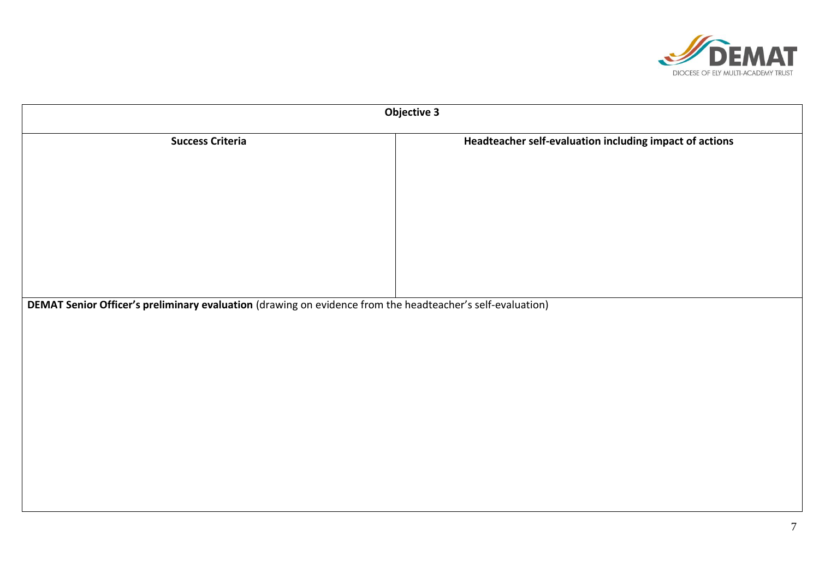

| <b>Objective 3</b>                                                                                         |                                                         |  |  |
|------------------------------------------------------------------------------------------------------------|---------------------------------------------------------|--|--|
| <b>Success Criteria</b>                                                                                    | Headteacher self-evaluation including impact of actions |  |  |
|                                                                                                            |                                                         |  |  |
|                                                                                                            |                                                         |  |  |
|                                                                                                            |                                                         |  |  |
|                                                                                                            |                                                         |  |  |
|                                                                                                            |                                                         |  |  |
|                                                                                                            |                                                         |  |  |
| DEMAT Senior Officer's preliminary evaluation (drawing on evidence from the headteacher's self-evaluation) |                                                         |  |  |
|                                                                                                            |                                                         |  |  |
|                                                                                                            |                                                         |  |  |
|                                                                                                            |                                                         |  |  |
|                                                                                                            |                                                         |  |  |
|                                                                                                            |                                                         |  |  |
|                                                                                                            |                                                         |  |  |
|                                                                                                            |                                                         |  |  |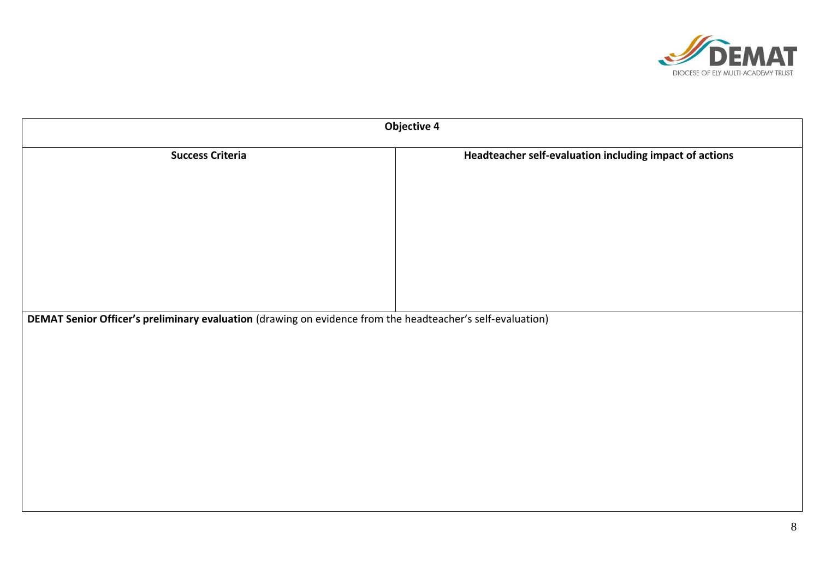

| <b>Objective 4</b>      |                                                                                                            |  |  |  |  |
|-------------------------|------------------------------------------------------------------------------------------------------------|--|--|--|--|
| <b>Success Criteria</b> | Headteacher self-evaluation including impact of actions                                                    |  |  |  |  |
|                         |                                                                                                            |  |  |  |  |
|                         |                                                                                                            |  |  |  |  |
|                         |                                                                                                            |  |  |  |  |
|                         |                                                                                                            |  |  |  |  |
|                         | DEMAT Senior Officer's preliminary evaluation (drawing on evidence from the headteacher's self-evaluation) |  |  |  |  |
|                         |                                                                                                            |  |  |  |  |
|                         |                                                                                                            |  |  |  |  |
|                         |                                                                                                            |  |  |  |  |
|                         |                                                                                                            |  |  |  |  |
|                         |                                                                                                            |  |  |  |  |
|                         |                                                                                                            |  |  |  |  |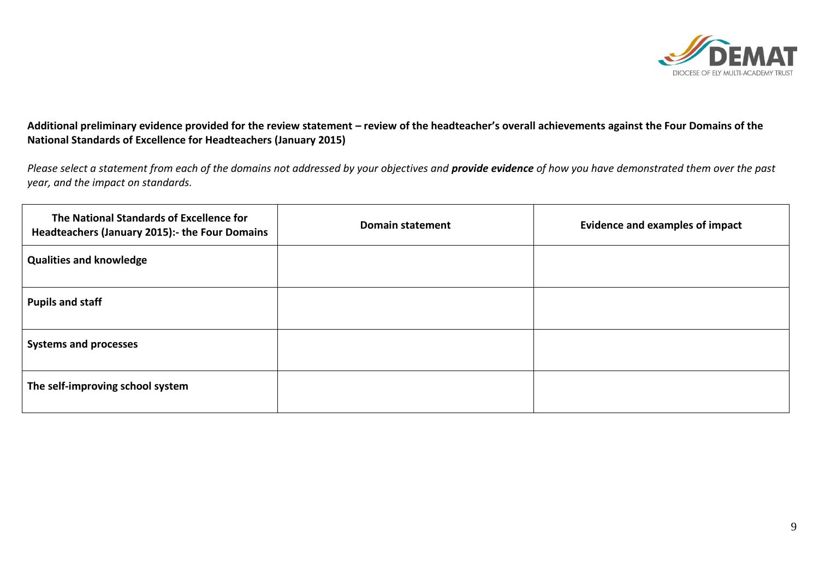

## **Additional preliminary evidence provided for the review statement – review of the headteacher's overall achievements against the Four Domains of the National Standards of Excellence for Headteachers (January 2015)**

*Please select a statement from each of the domains not addressed by your objectives and provide evidence of how you have demonstrated them over the past year, and the impact on standards.*

| The National Standards of Excellence for<br>Headteachers (January 2015): the Four Domains | <b>Domain statement</b> | <b>Evidence and examples of impact</b> |
|-------------------------------------------------------------------------------------------|-------------------------|----------------------------------------|
| <b>Qualities and knowledge</b>                                                            |                         |                                        |
| <b>Pupils and staff</b>                                                                   |                         |                                        |
| <b>Systems and processes</b>                                                              |                         |                                        |
| The self-improving school system                                                          |                         |                                        |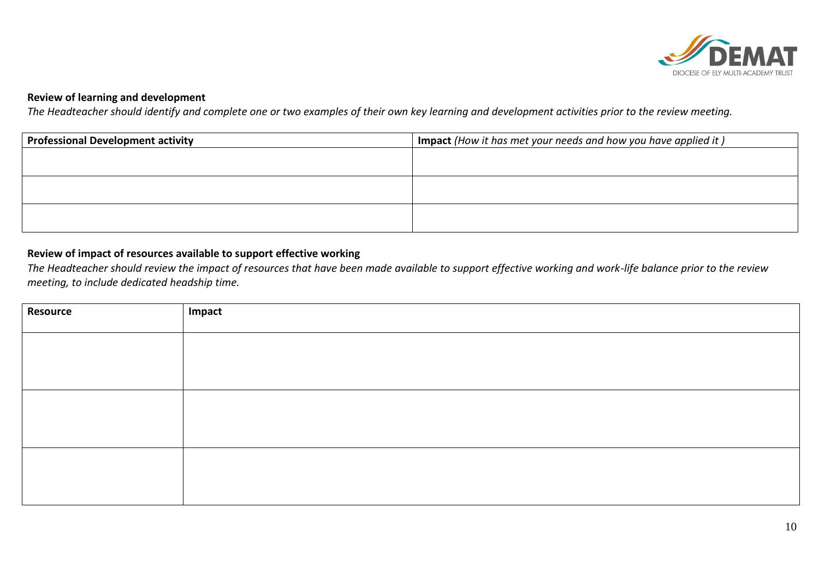

## **Review of learning and development**

*The Headteacher should identify and complete one or two examples of their own key learning and development activities prior to the review meeting.* 

| <b>Professional Development activity</b> | Impact (How it has met your needs and how you have applied it) |  |
|------------------------------------------|----------------------------------------------------------------|--|
|                                          |                                                                |  |
|                                          |                                                                |  |
|                                          |                                                                |  |
|                                          |                                                                |  |
|                                          |                                                                |  |
|                                          |                                                                |  |

## **Review of impact of resources available to support effective working**

*The Headteacher should review the impact of resources that have been made available to support effective working and work-life balance prior to the review meeting, to include dedicated headship time.*

| <b>Resource</b> | Impact |
|-----------------|--------|
|                 |        |
|                 |        |
|                 |        |
|                 |        |
|                 |        |
|                 |        |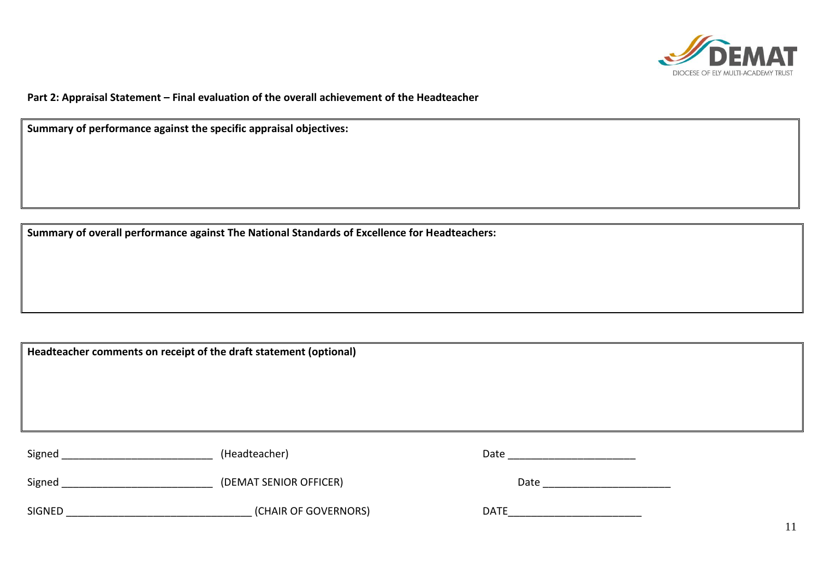

11

**Part 2: Appraisal Statement – Final evaluation of the overall achievement of the Headteacher** 

**Summary of performance against the specific appraisal objectives:**

**Summary of overall performance against The National Standards of Excellence for Headteachers:**

**Headteacher comments on receipt of the draft statement (optional)**

| Signed | (Headteacher)          | Date        |
|--------|------------------------|-------------|
| Signed | (DEMAT SENIOR OFFICER) | Date        |
| SIGNED | (CHAIR OF GOVERNORS)   | <b>DATE</b> |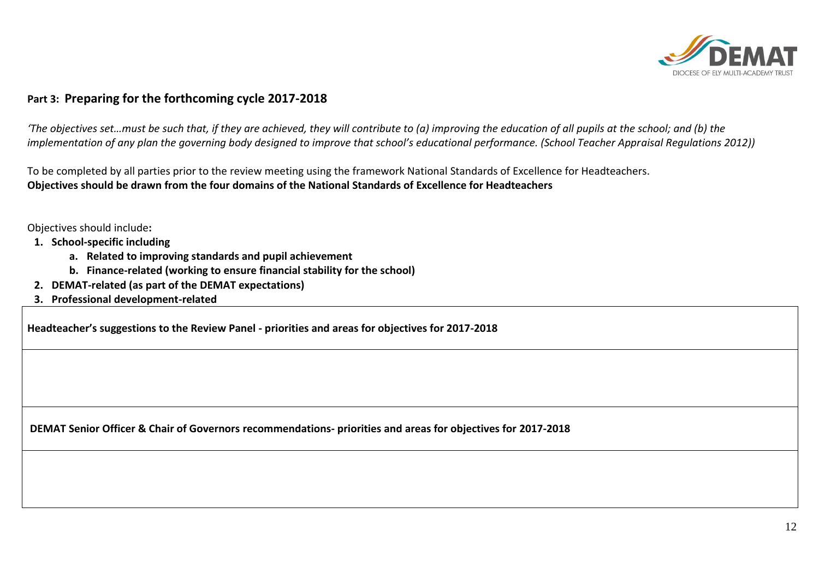

## **Part 3: Preparing for the forthcoming cycle 2017-2018**

*'The objectives set…must be such that, if they are achieved, they will contribute to (a) improving the education of all pupils at the school; and (b) the implementation of any plan the governing body designed to improve that school's educational performance. (School Teacher Appraisal Regulations 2012))*

To be completed by all parties prior to the review meeting using the framework National Standards of Excellence for Headteachers. **Objectives should be drawn from the four domains of the National Standards of Excellence for Headteachers**

Objectives should include**:**

- **1. School-specific including**
	- **a. Related to improving standards and pupil achievement**
	- **b. Finance-related (working to ensure financial stability for the school)**
- **2. DEMAT-related (as part of the DEMAT expectations)**
- **3. Professional development-related**

**Headteacher's suggestions to the Review Panel - priorities and areas for objectives for 2017-2018** 

**DEMAT Senior Officer & Chair of Governors recommendations- priorities and areas for objectives for 2017-2018**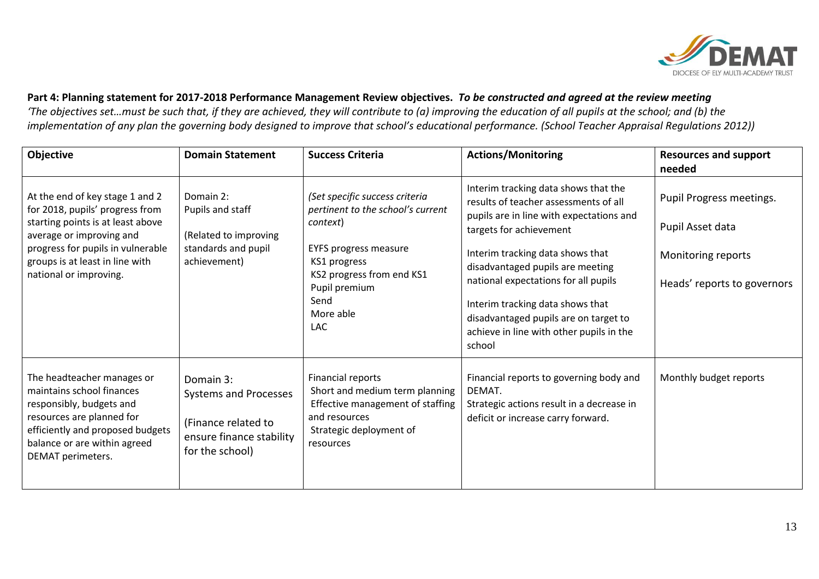

## **Part 4: Planning statement for 2017-2018 Performance Management Review objectives.** *To be constructed and agreed at the review meeting* 'The objectives set...must be such that, if they are achieved, they will contribute to (a) improving the education of all pupils at the school; and (b) the *implementation of any plan the governing body designed to improve that school's educational performance. (School Teacher Appraisal Regulations 2012))*

| Objective                                                                                                                                                                                                                             | <b>Domain Statement</b>                                                                                  | <b>Success Criteria</b>                                                                                                                                                                                          | <b>Actions/Monitoring</b>                                                                                                                                                                                                                                                                                                                                                                               | <b>Resources and support</b><br>needed                                                            |
|---------------------------------------------------------------------------------------------------------------------------------------------------------------------------------------------------------------------------------------|----------------------------------------------------------------------------------------------------------|------------------------------------------------------------------------------------------------------------------------------------------------------------------------------------------------------------------|---------------------------------------------------------------------------------------------------------------------------------------------------------------------------------------------------------------------------------------------------------------------------------------------------------------------------------------------------------------------------------------------------------|---------------------------------------------------------------------------------------------------|
| At the end of key stage 1 and 2<br>for 2018, pupils' progress from<br>starting points is at least above<br>average or improving and<br>progress for pupils in vulnerable<br>groups is at least in line with<br>national or improving. | Domain 2:<br>Pupils and staff<br>(Related to improving<br>standards and pupil<br>achievement)            | (Set specific success criteria<br>pertinent to the school's current<br>context)<br><b>EYFS progress measure</b><br>KS1 progress<br>KS2 progress from end KS1<br>Pupil premium<br>Send<br>More able<br><b>LAC</b> | Interim tracking data shows that the<br>results of teacher assessments of all<br>pupils are in line with expectations and<br>targets for achievement<br>Interim tracking data shows that<br>disadvantaged pupils are meeting<br>national expectations for all pupils<br>Interim tracking data shows that<br>disadvantaged pupils are on target to<br>achieve in line with other pupils in the<br>school | Pupil Progress meetings.<br>Pupil Asset data<br>Monitoring reports<br>Heads' reports to governors |
| The headteacher manages or<br>maintains school finances<br>responsibly, budgets and<br>resources are planned for<br>efficiently and proposed budgets<br>balance or are within agreed<br>DEMAT perimeters.                             | Domain 3:<br>Systems and Processes<br>(Finance related to<br>ensure finance stability<br>for the school) | Financial reports<br>Short and medium term planning<br>Effective management of staffing<br>and resources<br>Strategic deployment of<br>resources                                                                 | Financial reports to governing body and<br>DEMAT.<br>Strategic actions result in a decrease in<br>deficit or increase carry forward.                                                                                                                                                                                                                                                                    | Monthly budget reports                                                                            |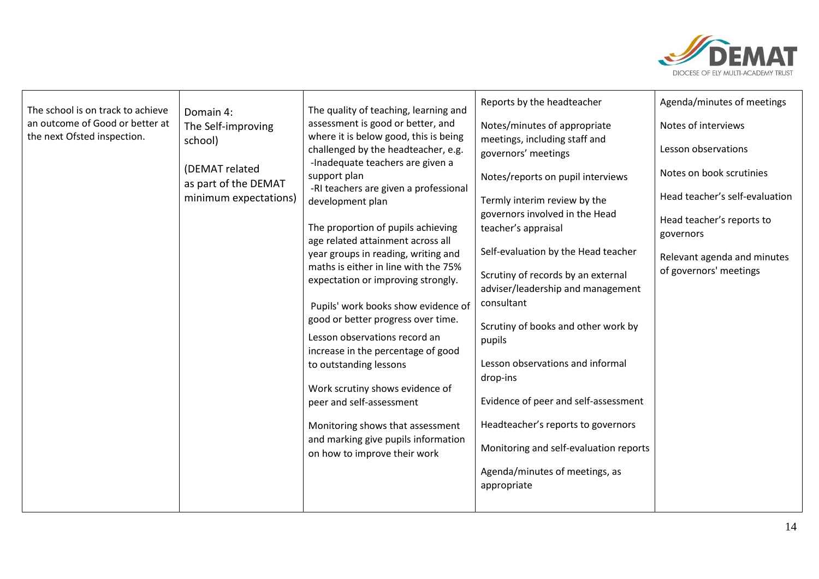

| The school is on track to achieve | Domain 4:                              | The quality of teaching, learning and                                                                            | Reports by the headteacher                           | Agenda/minutes of meetings             |
|-----------------------------------|----------------------------------------|------------------------------------------------------------------------------------------------------------------|------------------------------------------------------|----------------------------------------|
| an outcome of Good or better at   | The Self-improving                     | assessment is good or better, and                                                                                | Notes/minutes of appropriate                         | Notes of interviews                    |
| the next Ofsted inspection.       | school)                                | where it is below good, this is being<br>challenged by the headteacher, e.g.<br>-Inadequate teachers are given a | meetings, including staff and<br>governors' meetings | Lesson observations                    |
|                                   | (DEMAT related<br>as part of the DEMAT | support plan                                                                                                     | Notes/reports on pupil interviews                    | Notes on book scrutinies               |
|                                   | minimum expectations)                  | -RI teachers are given a professional<br>development plan                                                        | Termly interim review by the                         | Head teacher's self-evaluation         |
|                                   |                                        |                                                                                                                  | governors involved in the Head                       |                                        |
|                                   |                                        | The proportion of pupils achieving<br>age related attainment across all                                          | teacher's appraisal                                  | Head teacher's reports to<br>governors |
|                                   |                                        | year groups in reading, writing and                                                                              | Self-evaluation by the Head teacher                  | Relevant agenda and minutes            |
|                                   |                                        | maths is either in line with the 75%<br>expectation or improving strongly.                                       | Scrutiny of records by an external                   | of governors' meetings                 |
|                                   |                                        |                                                                                                                  | adviser/leadership and management                    |                                        |
|                                   |                                        | Pupils' work books show evidence of                                                                              | consultant                                           |                                        |
|                                   |                                        | good or better progress over time.                                                                               | Scrutiny of books and other work by                  |                                        |
|                                   |                                        | Lesson observations record an<br>increase in the percentage of good                                              | pupils                                               |                                        |
|                                   |                                        | to outstanding lessons                                                                                           | Lesson observations and informal                     |                                        |
|                                   |                                        |                                                                                                                  | drop-ins                                             |                                        |
|                                   |                                        | Work scrutiny shows evidence of<br>peer and self-assessment                                                      | Evidence of peer and self-assessment                 |                                        |
|                                   |                                        |                                                                                                                  |                                                      |                                        |
|                                   |                                        | Monitoring shows that assessment                                                                                 | Headteacher's reports to governors                   |                                        |
|                                   |                                        | and marking give pupils information<br>on how to improve their work                                              | Monitoring and self-evaluation reports               |                                        |
|                                   |                                        |                                                                                                                  | Agenda/minutes of meetings, as<br>appropriate        |                                        |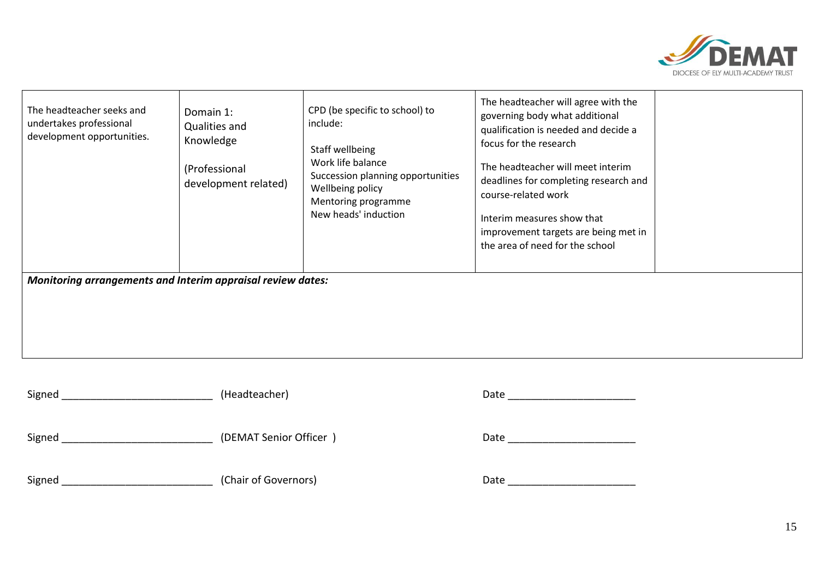

| The headteacher seeks and<br>undertakes professional<br>development opportunities. | Domain 1:<br>Qualities and<br>Knowledge<br>(Professional<br>development related) | CPD (be specific to school) to<br>include:<br>Staff wellbeing<br>Work life balance<br>Succession planning opportunities<br>Wellbeing policy<br>Mentoring programme<br>New heads' induction | The headteacher will agree with the<br>governing body what additional<br>qualification is needed and decide a<br>focus for the research<br>The headteacher will meet interim<br>deadlines for completing research and<br>course-related work<br>Interim measures show that<br>improvement targets are being met in<br>the area of need for the school |  |  |
|------------------------------------------------------------------------------------|----------------------------------------------------------------------------------|--------------------------------------------------------------------------------------------------------------------------------------------------------------------------------------------|-------------------------------------------------------------------------------------------------------------------------------------------------------------------------------------------------------------------------------------------------------------------------------------------------------------------------------------------------------|--|--|
| Monitoring arrangements and Interim appraisal review dates:                        |                                                                                  |                                                                                                                                                                                            |                                                                                                                                                                                                                                                                                                                                                       |  |  |

| $\sim$<br>Signed | leadteacher)<br>. Et | .<br>ᄮ |
|------------------|----------------------|--------|
|------------------|----------------------|--------|

| Signed | (DEMAT Senior Officer |
|--------|-----------------------|
|--------|-----------------------|

Signed \_\_\_\_\_\_\_\_\_\_\_\_\_\_\_\_\_\_\_\_\_\_\_\_\_\_ (Chair of Governors) Date \_\_\_\_\_\_\_\_\_\_\_\_\_\_\_\_\_\_\_\_\_\_

| $\overline{\phantom{0}}$<br>Date |  |
|----------------------------------|--|
|                                  |  |

Signed \_\_\_\_\_\_\_\_\_\_\_\_\_\_\_\_\_\_\_\_\_\_\_\_\_\_ (DEMAT Senior Officer ) Date \_\_\_\_\_\_\_\_\_\_\_\_\_\_\_\_\_\_\_\_\_\_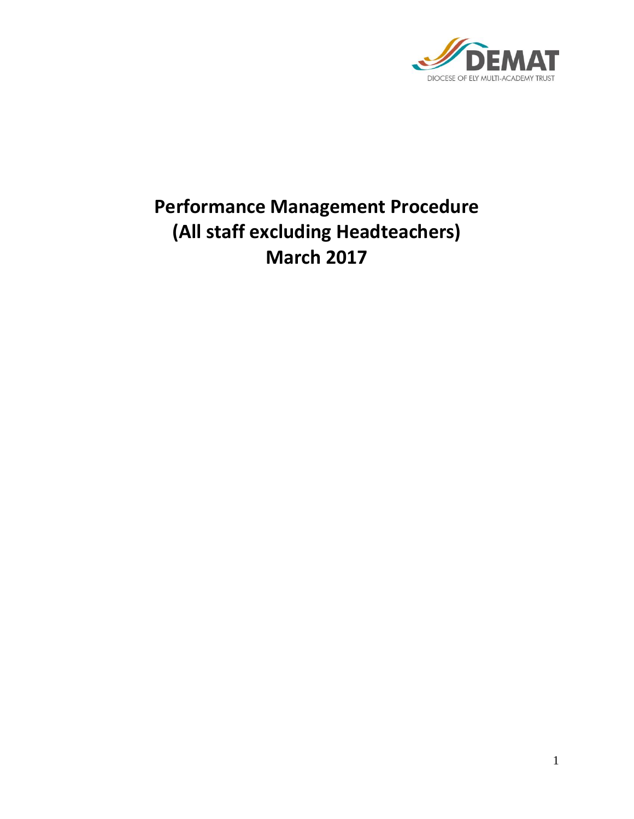

# **Performance Management Procedure (All staff excluding Headteachers) March 2017**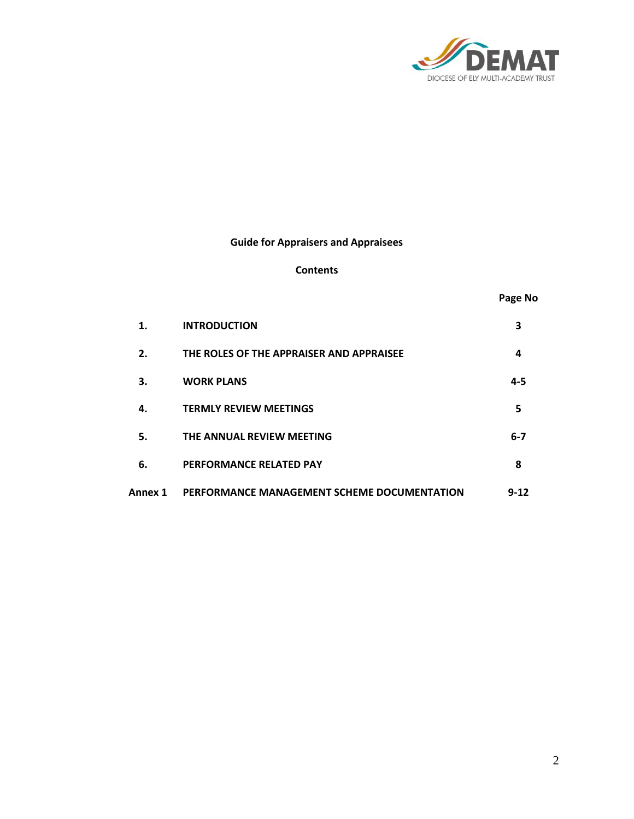

## **Guide for Appraisers and Appraisees**

#### **Contents**

| 700. | N<br>ın |
|------|---------|
|------|---------|

| 1.      | <b>INTRODUCTION</b>                         | 3        |
|---------|---------------------------------------------|----------|
| 2.      | THE ROLES OF THE APPRAISER AND APPRAISEE    | 4        |
| З.      | <b>WORK PLANS</b>                           | 4-5      |
| 4.      | <b>TERMLY REVIEW MEETINGS</b>               | 5        |
| 5.      | THE ANNUAL REVIEW MEETING                   | $6 - 7$  |
| 6.      | PERFORMANCE RELATED PAY                     | 8        |
| Annex 1 | PERFORMANCE MANAGEMENT SCHEME DOCUMENTATION | $9 - 12$ |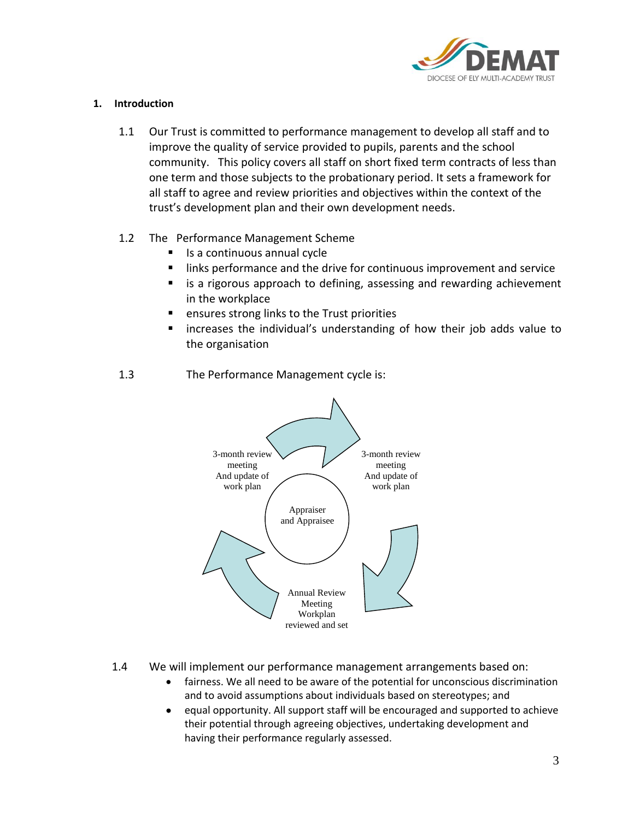

## **1. Introduction**

- 1.1 Our Trust is committed to performance management to develop all staff and to improve the quality of service provided to pupils, parents and the school community. This policy covers all staff on short fixed term contracts of less than one term and those subjects to the probationary period. It sets a framework for all staff to agree and review priorities and objectives within the context of the trust's development plan and their own development needs.
- 1.2 The Performance Management Scheme
	- Is a continuous annual cycle
	- links performance and the drive for continuous improvement and service
	- is a rigorous approach to defining, assessing and rewarding achievement in the workplace
	- ensures strong links to the Trust priorities
	- increases the individual's understanding of how their job adds value to the organisation



## 1.3 The Performance Management cycle is:

- 1.4 We will implement our performance management arrangements based on:
	- fairness. We all need to be aware of the potential for unconscious discrimination and to avoid assumptions about individuals based on stereotypes; and
	- equal opportunity. All support staff will be encouraged and supported to achieve their potential through agreeing objectives, undertaking development and having their performance regularly assessed.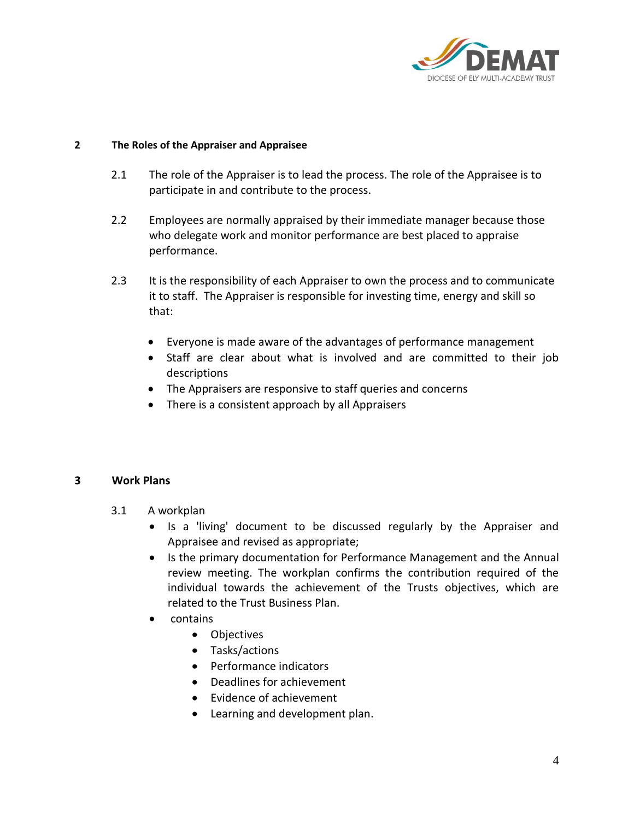

## **2 The Roles of the Appraiser and Appraisee**

- 2.1 The role of the Appraiser is to lead the process. The role of the Appraisee is to participate in and contribute to the process.
- 2.2 Employees are normally appraised by their immediate manager because those who delegate work and monitor performance are best placed to appraise performance.
- 2.3 It is the responsibility of each Appraiser to own the process and to communicate it to staff. The Appraiser is responsible for investing time, energy and skill so that:
	- Everyone is made aware of the advantages of performance management
	- Staff are clear about what is involved and are committed to their job descriptions
	- The Appraisers are responsive to staff queries and concerns
	- There is a consistent approach by all Appraisers

## **3 Work Plans**

- 3.1 A workplan
	- Is a 'living' document to be discussed regularly by the Appraiser and Appraisee and revised as appropriate;
	- Is the primary documentation for Performance Management and the Annual review meeting. The workplan confirms the contribution required of the individual towards the achievement of the Trusts objectives, which are related to the Trust Business Plan.
	- contains
		- Objectives
		- Tasks/actions
		- Performance indicators
		- Deadlines for achievement
		- Evidence of achievement
		- Learning and development plan.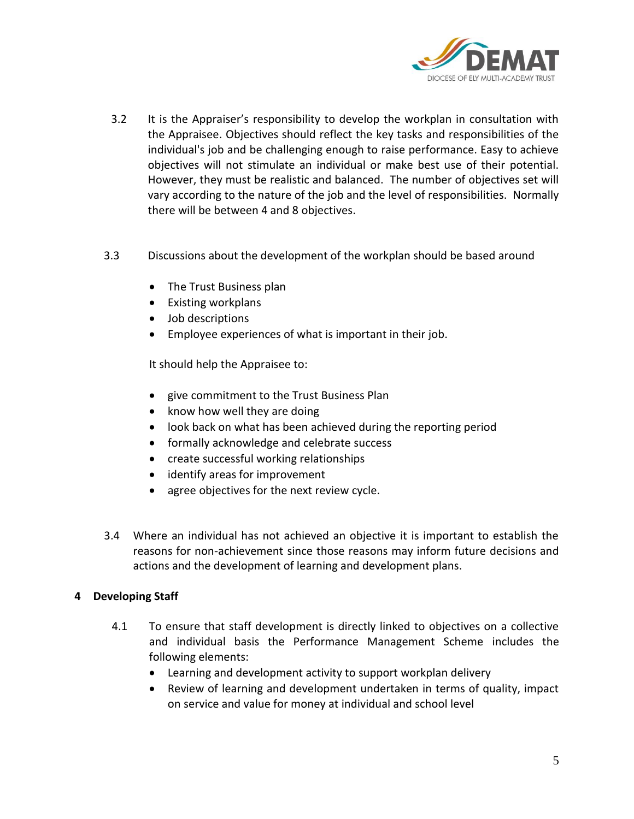

- 3.2 It is the Appraiser's responsibility to develop the workplan in consultation with the Appraisee. Objectives should reflect the key tasks and responsibilities of the individual's job and be challenging enough to raise performance. Easy to achieve objectives will not stimulate an individual or make best use of their potential. However, they must be realistic and balanced. The number of objectives set will vary according to the nature of the job and the level of responsibilities. Normally there will be between 4 and 8 objectives.
- 3.3 Discussions about the development of the workplan should be based around
	- The Trust Business plan
	- Existing workplans
	- Job descriptions
	- Employee experiences of what is important in their job.

It should help the Appraisee to:

- give commitment to the Trust Business Plan
- know how well they are doing
- look back on what has been achieved during the reporting period
- formally acknowledge and celebrate success
- create successful working relationships
- identify areas for improvement
- agree objectives for the next review cycle.
- 3.4 Where an individual has not achieved an objective it is important to establish the reasons for non-achievement since those reasons may inform future decisions and actions and the development of learning and development plans.

## **4 Developing Staff**

- 4.1 To ensure that staff development is directly linked to objectives on a collective and individual basis the Performance Management Scheme includes the following elements:
	- Learning and development activity to support workplan delivery
	- Review of learning and development undertaken in terms of quality, impact on service and value for money at individual and school level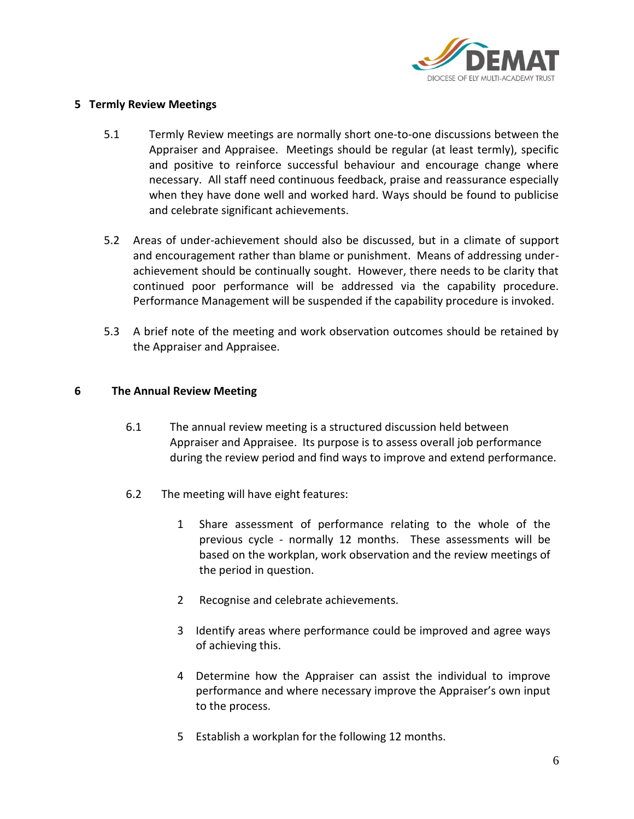

## **5 Termly Review Meetings**

- 5.1 Termly Review meetings are normally short one-to-one discussions between the Appraiser and Appraisee. Meetings should be regular (at least termly), specific and positive to reinforce successful behaviour and encourage change where necessary. All staff need continuous feedback, praise and reassurance especially when they have done well and worked hard. Ways should be found to publicise and celebrate significant achievements.
- 5.2 Areas of under-achievement should also be discussed, but in a climate of support and encouragement rather than blame or punishment. Means of addressing underachievement should be continually sought. However, there needs to be clarity that continued poor performance will be addressed via the capability procedure. Performance Management will be suspended if the capability procedure is invoked.
- 5.3 A brief note of the meeting and work observation outcomes should be retained by the Appraiser and Appraisee.

## **6 The Annual Review Meeting**

- 6.1 The annual review meeting is a structured discussion held between Appraiser and Appraisee. Its purpose is to assess overall job performance during the review period and find ways to improve and extend performance.
- 6.2 The meeting will have eight features:
	- 1 Share assessment of performance relating to the whole of the previous cycle - normally 12 months. These assessments will be based on the workplan, work observation and the review meetings of the period in question.
	- 2 Recognise and celebrate achievements.
	- 3 Identify areas where performance could be improved and agree ways of achieving this.
	- 4 Determine how the Appraiser can assist the individual to improve performance and where necessary improve the Appraiser's own input to the process.
	- 5 Establish a workplan for the following 12 months.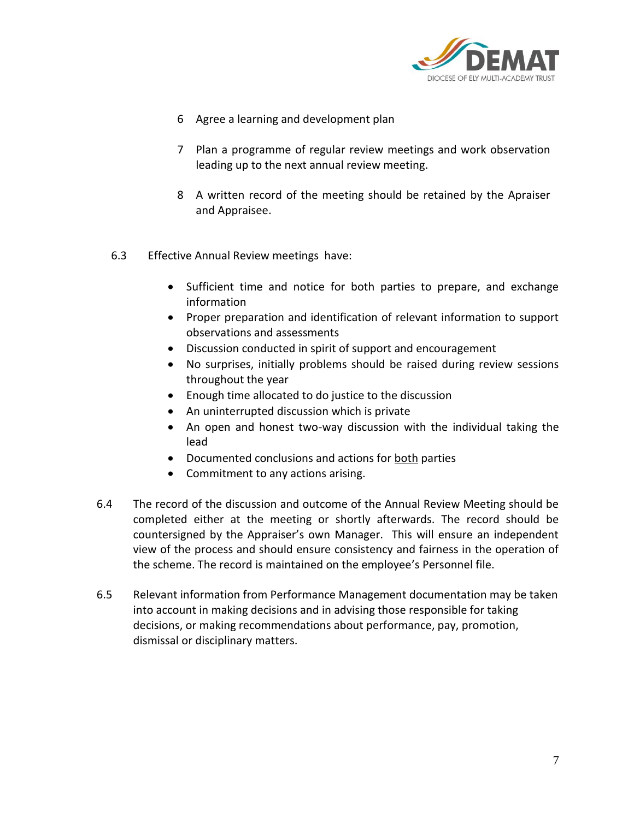

- 6 Agree a learning and development plan
- 7 Plan a programme of regular review meetings and work observation leading up to the next annual review meeting.
- 8 A written record of the meeting should be retained by the Apraiser and Appraisee.
- 6.3 Effective Annual Review meetings have:
	- Sufficient time and notice for both parties to prepare, and exchange information
	- Proper preparation and identification of relevant information to support observations and assessments
	- Discussion conducted in spirit of support and encouragement
	- No surprises, initially problems should be raised during review sessions throughout the year
	- Enough time allocated to do justice to the discussion
	- An uninterrupted discussion which is private
	- An open and honest two-way discussion with the individual taking the lead
	- Documented conclusions and actions for both parties
	- Commitment to any actions arising.
- 6.4 The record of the discussion and outcome of the Annual Review Meeting should be completed either at the meeting or shortly afterwards. The record should be countersigned by the Appraiser's own Manager. This will ensure an independent view of the process and should ensure consistency and fairness in the operation of the scheme. The record is maintained on the employee's Personnel file.
- 6.5 Relevant information from Performance Management documentation may be taken into account in making decisions and in advising those responsible for taking decisions, or making recommendations about performance, pay, promotion, dismissal or disciplinary matters.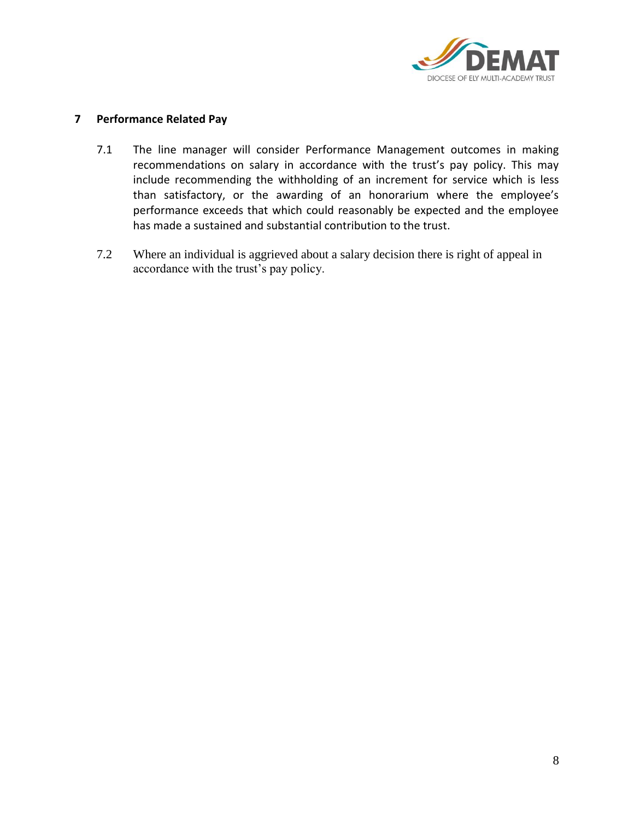

## **7 Performance Related Pay**

- 7.1 The line manager will consider Performance Management outcomes in making recommendations on salary in accordance with the trust's pay policy. This may include recommending the withholding of an increment for service which is less than satisfactory, or the awarding of an honorarium where the employee's performance exceeds that which could reasonably be expected and the employee has made a sustained and substantial contribution to the trust.
- 7.2 Where an individual is aggrieved about a salary decision there is right of appeal in accordance with the trust's pay policy.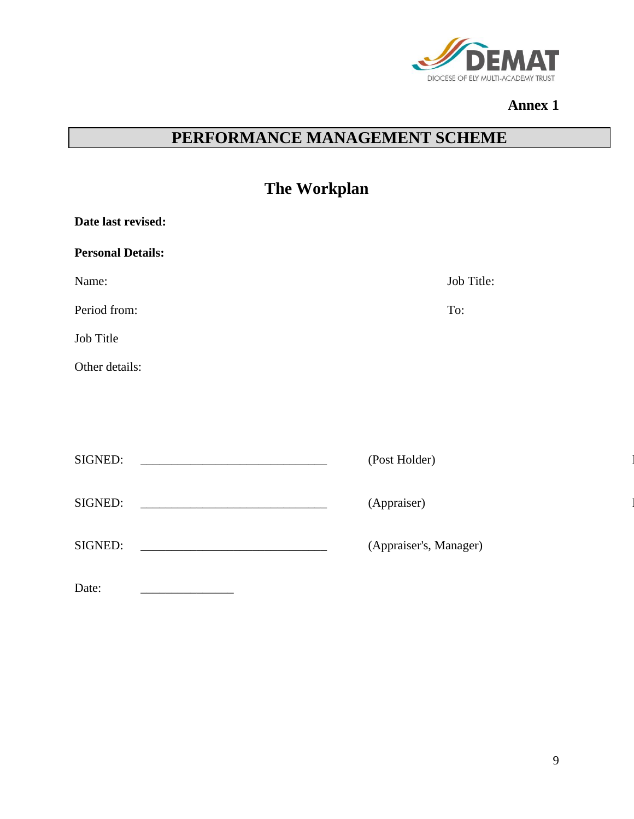

## **Annex 1**

# **PERFORMANCE MANAGEMENT SCHEME**

| The Workplan                                                                                                                                                                                                                                    |                        |
|-------------------------------------------------------------------------------------------------------------------------------------------------------------------------------------------------------------------------------------------------|------------------------|
| Date last revised:                                                                                                                                                                                                                              |                        |
| <b>Personal Details:</b>                                                                                                                                                                                                                        |                        |
| Name:                                                                                                                                                                                                                                           | Job Title:             |
| Period from:                                                                                                                                                                                                                                    | To:                    |
| Job Title                                                                                                                                                                                                                                       |                        |
| Other details:                                                                                                                                                                                                                                  |                        |
|                                                                                                                                                                                                                                                 |                        |
|                                                                                                                                                                                                                                                 |                        |
| SIGNED:<br><u> 1989 - Johann Barbara, martin amerikan basal da</u>                                                                                                                                                                              | (Post Holder)          |
| SIGNED:                                                                                                                                                                                                                                         | (Appraiser)            |
| SIGNED:<br><u>and the company of the company of the company of the company of the company of the company of the company of the company of the company of the company of the company of the company of the company of the company of the com</u> | (Appraiser's, Manager) |
| Date:                                                                                                                                                                                                                                           |                        |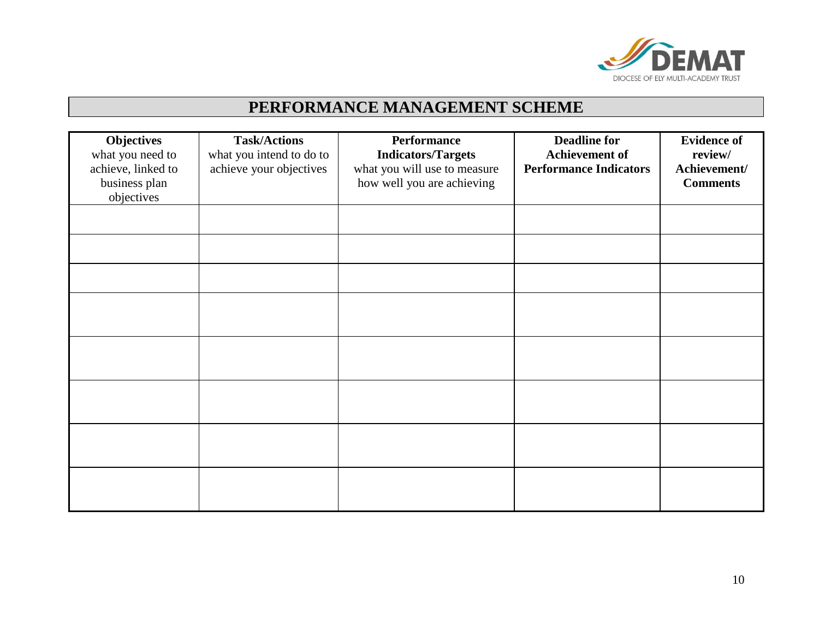

# **PERFORMANCE MANAGEMENT SCHEME**

| <b>Objectives</b><br>what you need to<br>achieve, linked to<br>business plan<br>objectives | <b>Task/Actions</b><br>what you intend to do to<br>achieve your objectives | Performance<br><b>Indicators/Targets</b><br>what you will use to measure<br>how well you are achieving | <b>Deadline for</b><br><b>Achievement of</b><br><b>Performance Indicators</b> | <b>Evidence of</b><br>review/<br>Achievement/<br><b>Comments</b> |
|--------------------------------------------------------------------------------------------|----------------------------------------------------------------------------|--------------------------------------------------------------------------------------------------------|-------------------------------------------------------------------------------|------------------------------------------------------------------|
|                                                                                            |                                                                            |                                                                                                        |                                                                               |                                                                  |
|                                                                                            |                                                                            |                                                                                                        |                                                                               |                                                                  |
|                                                                                            |                                                                            |                                                                                                        |                                                                               |                                                                  |
|                                                                                            |                                                                            |                                                                                                        |                                                                               |                                                                  |
|                                                                                            |                                                                            |                                                                                                        |                                                                               |                                                                  |
|                                                                                            |                                                                            |                                                                                                        |                                                                               |                                                                  |
|                                                                                            |                                                                            |                                                                                                        |                                                                               |                                                                  |
|                                                                                            |                                                                            |                                                                                                        |                                                                               |                                                                  |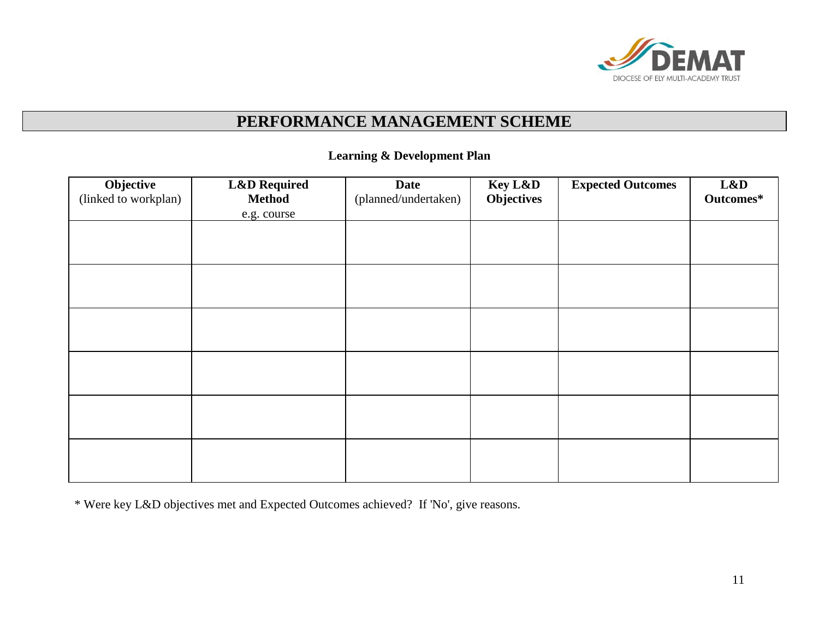

# **PERFORMANCE MANAGEMENT SCHEME**

## **Learning & Development Plan**

| Objective<br>(linked to workplan) | <b>L&amp;D</b> Required<br><b>Method</b><br>e.g. course | <b>Date</b><br>(planned/undertaken) | Key L&D<br><b>Objectives</b> | <b>Expected Outcomes</b> | L&D<br>Outcomes* |
|-----------------------------------|---------------------------------------------------------|-------------------------------------|------------------------------|--------------------------|------------------|
|                                   |                                                         |                                     |                              |                          |                  |
|                                   |                                                         |                                     |                              |                          |                  |
|                                   |                                                         |                                     |                              |                          |                  |
|                                   |                                                         |                                     |                              |                          |                  |
|                                   |                                                         |                                     |                              |                          |                  |
|                                   |                                                         |                                     |                              |                          |                  |
|                                   |                                                         |                                     |                              |                          |                  |

\* Were key L&D objectives met and Expected Outcomes achieved? If 'No', give reasons.